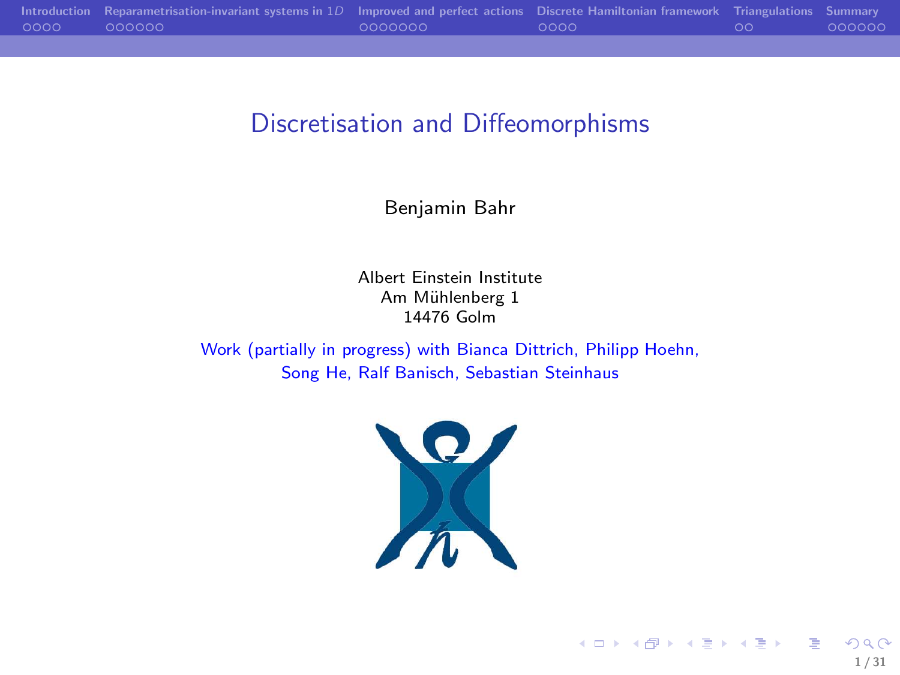|      | Introduction Reparametrisation-invariant systems in $1D$ Improved and perfect actions Discrete Hamiltonian framework Triangulations Summary |         |        |        |
|------|---------------------------------------------------------------------------------------------------------------------------------------------|---------|--------|--------|
| 0000 | 000000                                                                                                                                      | 0000000 | - 0000 | 000000 |
|      |                                                                                                                                             |         |        |        |

## Discretisation and Diffeomorphisms

Benjamin Bahr

Albert Einstein Institute Am Mühlenberg 1 14476 Golm

Work (partially in progress) with Bianca Dittrich, Philipp Hoehn, Song He, Ralf Banisch, Sebastian Steinhaus



メロメ メタメ メミメ メミメン 毛  $290$ 1 / 31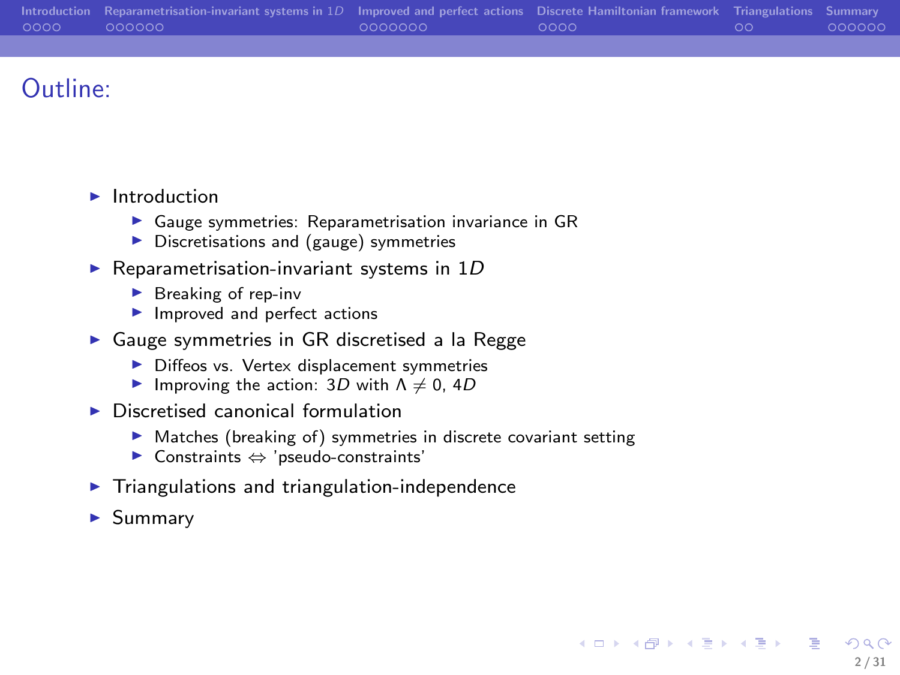|          | Introduction Reparametrisation-invariant systems in $1D$ Improved and perfect actions Discrete Hamiltonian framework Triangulations Summary |         |        |      |        |
|----------|---------------------------------------------------------------------------------------------------------------------------------------------|---------|--------|------|--------|
| $0000 -$ | $-000000 -$                                                                                                                                 | 0000000 | - ററററ | - ററ | 000000 |
|          |                                                                                                                                             |         |        |      |        |

# Outline:

- $\blacktriangleright$  Introduction
	- $\blacktriangleright$  Gauge symmetries: Reparametrisation invariance in GR
	- ▶ Discretisations and (gauge) symmetries
- Reparametrisation-invariant systems in  $1D$ 
	- $\blacktriangleright$  Breaking of rep-inv
	- ▶ Improved and perfect actions
- ▶ Gauge symmetries in GR discretised a la Regge
	- ▶ Diffeos vs. Vertex displacement symmetries
	- Improving the action:  $3D$  with  $\Lambda \neq 0$ ,  $4D$
- $\triangleright$  Discretised canonical formulation
	- ▶ Matches (breaking of) symmetries in discrete covariant setting

2 / 31

 $QQ$ 

イロン イ団ン イミン イミン 一番

- ◮ Constraints ⇔ 'pseudo-constraints'
- ▶ Triangulations and triangulation-independence
- ▶ Summary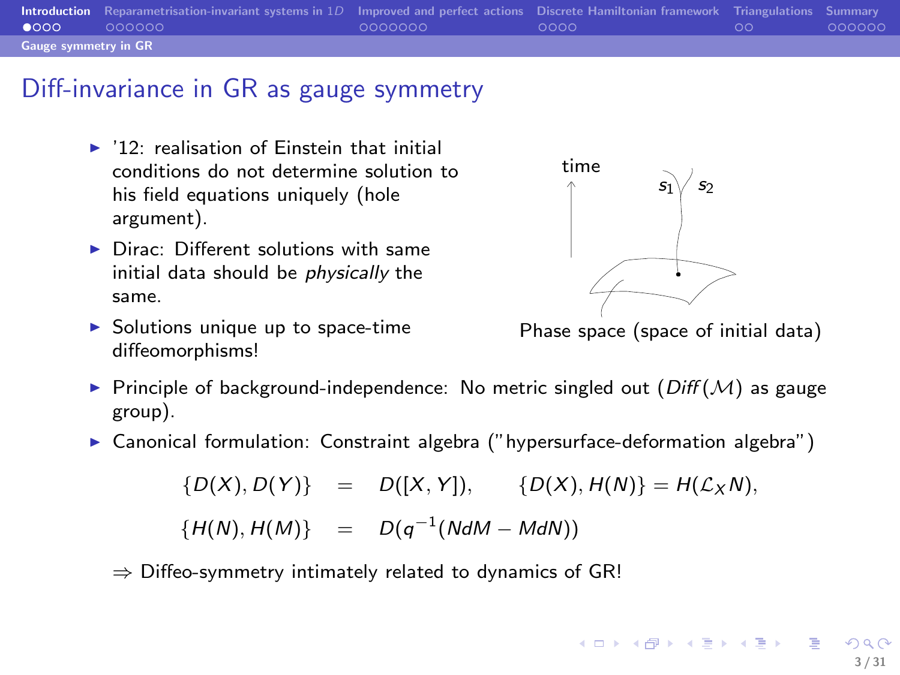|                             | Introduction Reparametrisation-invariant systems in 1D Improved and perfect actions Discrete Hamiltonian framework Triangulations Summary |         |        |    |        |
|-----------------------------|-------------------------------------------------------------------------------------------------------------------------------------------|---------|--------|----|--------|
| $\bullet$ 000               | 000000                                                                                                                                    | 0000000 | - ററററ | ററ | 000000 |
| <b>Gauge symmetry in GR</b> |                                                                                                                                           |         |        |    |        |

#### Diff-invariance in GR as gauge symmetry

- $\blacktriangleright$  '12: realisation of Finstein that initial conditions do not determine solution to his field equations uniquely (hole argument).
- $\blacktriangleright$  Dirac: Different solutions with same initial data should be physically the same.
- $\triangleright$  Solutions unique up to space-time diffeomorphisms!



<span id="page-2-0"></span>Phase space (space of initial data)

- Principle of background-independence: No metric singled out  $(Diff(M)$  as gauge group).
- $\triangleright$  Canonical formulation: Constraint algebra ("hypersurface-deformation algebra")

 $\{D(X), D(Y)\} = D([X, Y]), \{D(X), H(N)\} = H(\mathcal{L}_X N),$  ${H(N), H(M)} = D(q^{-1}(N dM - M dN))$ 

 $\Rightarrow$  Diffeo-symmetry intimately related to dynamics of GR!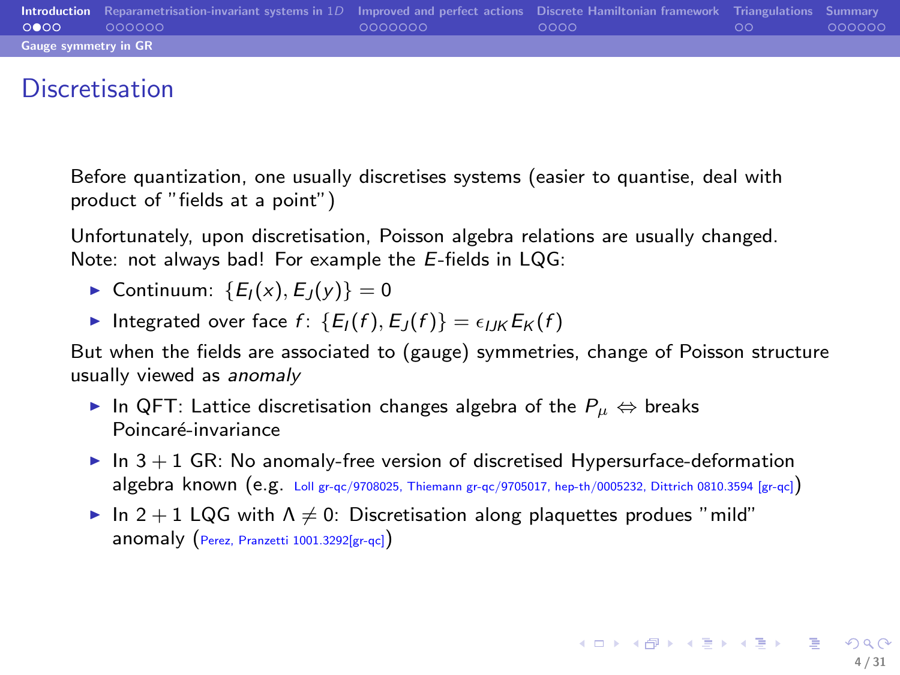|                             | <b>Introduction</b> Reparametrisation-invariant systems in 1D Improved and perfect actions Discrete Hamiltonian framework Triangulations Summary |         |      |    |        |
|-----------------------------|--------------------------------------------------------------------------------------------------------------------------------------------------|---------|------|----|--------|
| 0000                        | 000000                                                                                                                                           | 0000000 | ററററ | ററ | 000000 |
| <b>Gauge symmetry in GR</b> |                                                                                                                                                  |         |      |    |        |

### **Discretisation**

Before quantization, one usually discretises systems (easier to quantise, deal with product of "fields at a point")

Unfortunately, upon discretisation, Poisson algebra relations are usually changed. Note: not always bad! For example the E-fields in LQG:

- ► Continuum:  ${E_I(x), E_J(y)} = 0$
- Integrated over face  $f: \{E_1(f), E_1(f)\} = \epsilon_{IJK} E_K(f)$

But when the fields are associated to (gauge) symmetries, change of Poisson structure usually viewed as anomaly

- ► In QFT: Lattice discretisation changes algebra of the  $P_{\mu} \Leftrightarrow$  breaks Poincaré-invariance
- $\triangleright$  In  $3 + 1$  GR: No anomaly-free version of discretised Hypersurface-deformation algebra known (e.g. Loll gr-qc/9708025, Thiemann gr-qc/9705017, hep-th/0005232, Dittrich 0810.3594 [gr-qc])
- ► In 2 + 1 LQG with  $\Lambda \neq 0$ : Discretisation along plaquettes produes "mild" anomaly (Perez, Pranzetti 1001.3292[gr-qc])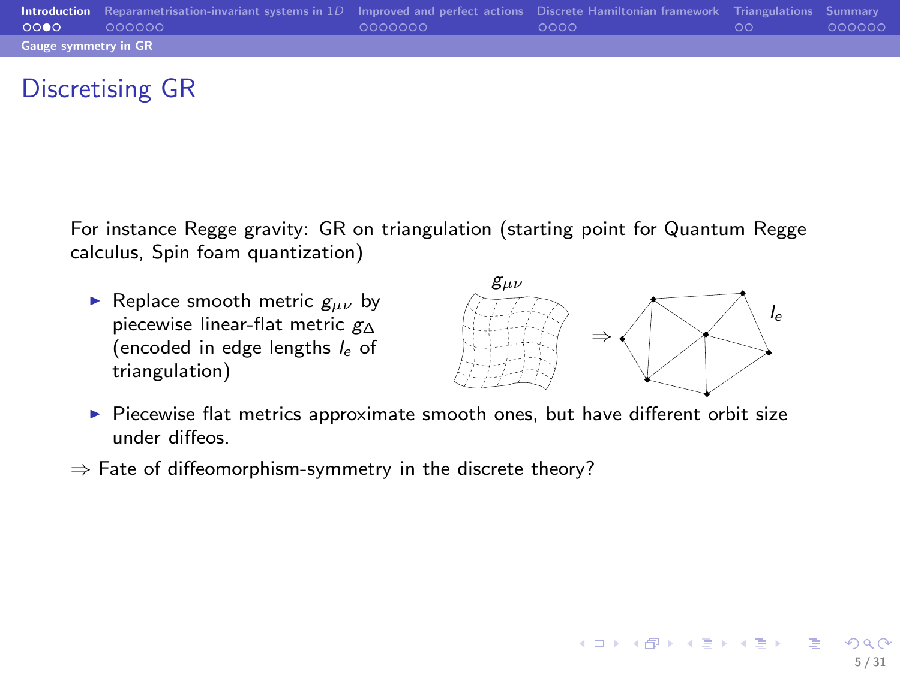|                             | Introduction Reparametrisation-invariant systems in 1D Improved and perfect actions Discrete Hamiltonian framework Triangulations Summary |         |        |    |        |
|-----------------------------|-------------------------------------------------------------------------------------------------------------------------------------------|---------|--------|----|--------|
| 0000                        | 000000                                                                                                                                    | 0000000 | - ററററ | ററ | 000000 |
| <b>Gauge symmetry in GR</b> |                                                                                                                                           |         |        |    |        |

# Discretising GR

For instance Regge gravity: GR on triangulation (starting point for Quantum Regge calculus, Spin foam quantization)

Replace smooth metric  $g_{\mu\nu}$  by piecewise linear-flat metric g<sup>∆</sup> (encoded in edge lengths  $l_e$  of triangulation)



イロメ イ母メ イヨメ イヨメー

5 / 31

- $\triangleright$  Piecewise flat metrics approximate smooth ones, but have different orbit size under diffeos.
- $\Rightarrow$  Fate of diffeomorphism-symmetry in the discrete theory?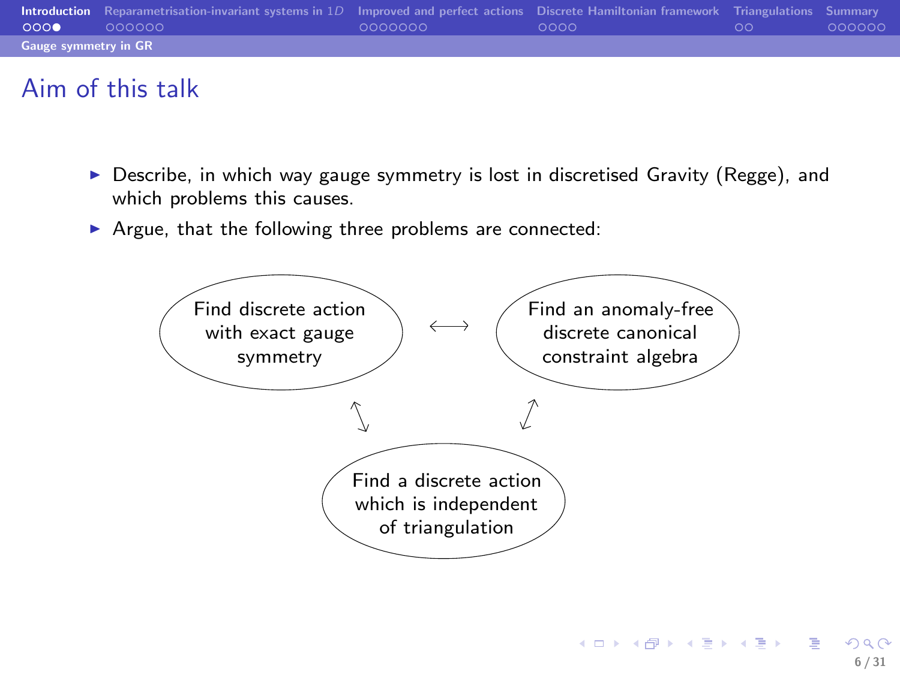|                             | Introduction Reparametrisation-invariant systems in 1D Improved and perfect actions Discrete Hamiltonian framework Triangulations Summary |         |       |    |        |
|-----------------------------|-------------------------------------------------------------------------------------------------------------------------------------------|---------|-------|----|--------|
| 0000                        | 000000                                                                                                                                    | 0000000 | -ററററ | ററ | 000000 |
| <b>Gauge symmetry in GR</b> |                                                                                                                                           |         |       |    |        |

## Aim of this talk

- ▶ Describe, in which way gauge symmetry is lost in discretised Gravity (Regge), and which problems this causes.
- ▶ Argue, that the following three problems are connected:



イロン イ団ン イミン イミン 一番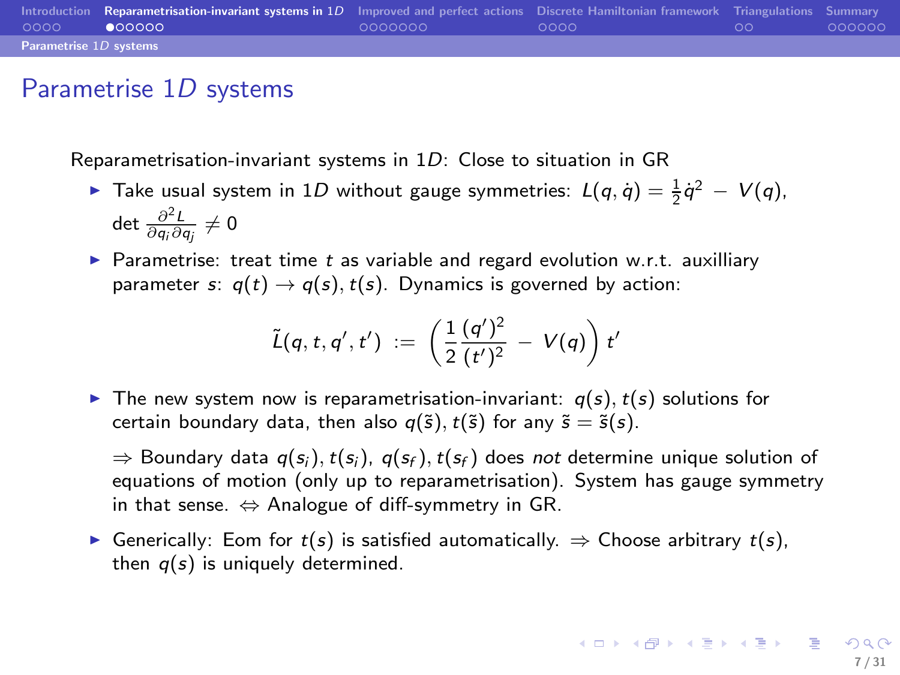|                        | Introduction Reparametrisation-invariant systems in 1D Improved and perfect actions Discrete Hamiltonian framework Triangulations Summary |         |        |    |        |
|------------------------|-------------------------------------------------------------------------------------------------------------------------------------------|---------|--------|----|--------|
| 0000                   | 000000                                                                                                                                    | 0000000 | - ററററ | ററ | 000000 |
| Parametrise 1D systems |                                                                                                                                           |         |        |    |        |

## Parametrise 1D systems

Reparametrisation-invariant systems in 1D: Close to situation in GR

- ► Take usual system in 1D without gauge symmetries:  $L(q, \dot{q}) = \frac{1}{2} \dot{q}^2 V(q)$ , det  $\frac{\partial^2 L}{\partial q_i \partial q_j} \neq 0$
- ▶ Parametrise: treat time  $t$  as variable and regard evolution w.r.t. auxilliary parameter s:  $q(t) \rightarrow q(s)$ ,  $t(s)$ . Dynamics is governed by action:

<span id="page-6-0"></span>
$$
\tilde{L}(q, t, q', t') := \left(\frac{1}{2}\frac{(q')^2}{(t')^2} - V(q)\right)t'
$$

 $\triangleright$  The new system now is reparametrisation-invariant:  $q(s)$ ,  $t(s)$  solutions for certain boundary data, then also  $q(\tilde{s})$ ,  $t(\tilde{s})$  for any  $\tilde{s} = \tilde{s}(s)$ .

⇒ Boundary data  $q(s_i)$ ,  $t(s_i)$ ,  $q(s_f)$ ,  $t(s_f)$  does not determine unique solution of equations of motion (only up to reparametrisation). System has gauge symmetry in that sense.  $\Leftrightarrow$  Analogue of diff-symmetry in GR.

► Generically: Eom for  $t(s)$  is satisfied automatically.  $\Rightarrow$  Choose arbitrary  $t(s)$ , then  $q(s)$  is uniquely determined.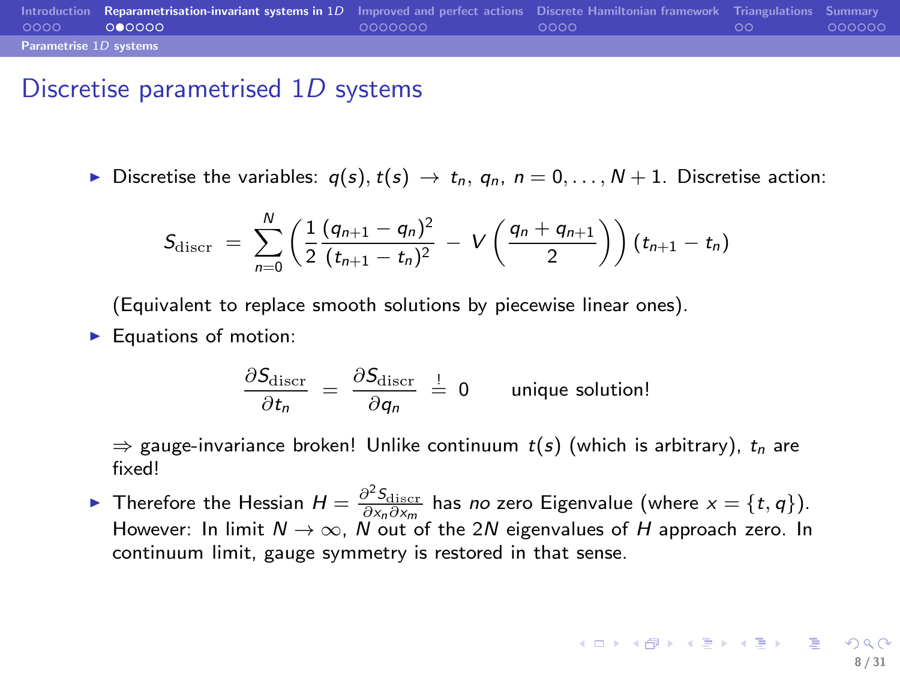|                        | Introduction Reparametrisation-invariant systems in 1D Improved and perfect actions Discrete Hamiltonian framework Triangulations Summary |         |      |    |        |
|------------------------|-------------------------------------------------------------------------------------------------------------------------------------------|---------|------|----|--------|
| 0000                   | 000000                                                                                                                                    | 0000000 | ററററ | ററ | 000000 |
| Parametrise 1D systems |                                                                                                                                           |         |      |    |        |

#### Discretise parametrised 1D systems

► Discretise the variables:  $q(s)$ ,  $t(s)$   $\rightarrow$   $t_n$ ,  $q_n$ ,  $n = 0, ..., N + 1$ . Discretise action:

$$
S_{\text{discr}} = \sum_{n=0}^{N} \left( \frac{1}{2} \frac{(q_{n+1} - q_n)^2}{(t_{n+1} - t_n)^2} - V\left(\frac{q_n + q_{n+1}}{2}\right) \right) (t_{n+1} - t_n)
$$

(Equivalent to replace smooth solutions by piecewise linear ones).

 $\blacktriangleright$  Equations of motion:

$$
\frac{\partial S_{\text{discr}}}{\partial t_n} = \frac{\partial S_{\text{discr}}}{\partial q_n} \stackrel{!}{=} 0 \quad \text{unique solution!}
$$

 $\Rightarrow$  gauge-invariance broken! Unlike continuum  $t(s)$  (which is arbitrary),  $t_n$  are fixed!

► Therefore the Hessian  $H = \frac{\partial^2 S_{\text{discr}}}{\partial x_n \partial x_m}$  has no zero Eigenvalue (where  $x = \{t, q\}$ ). However: In limit  $N \to \infty$ , N out of the 2N eigenvalues of H approach zero. In continuum limit, gauge symmetry is restored in that sense.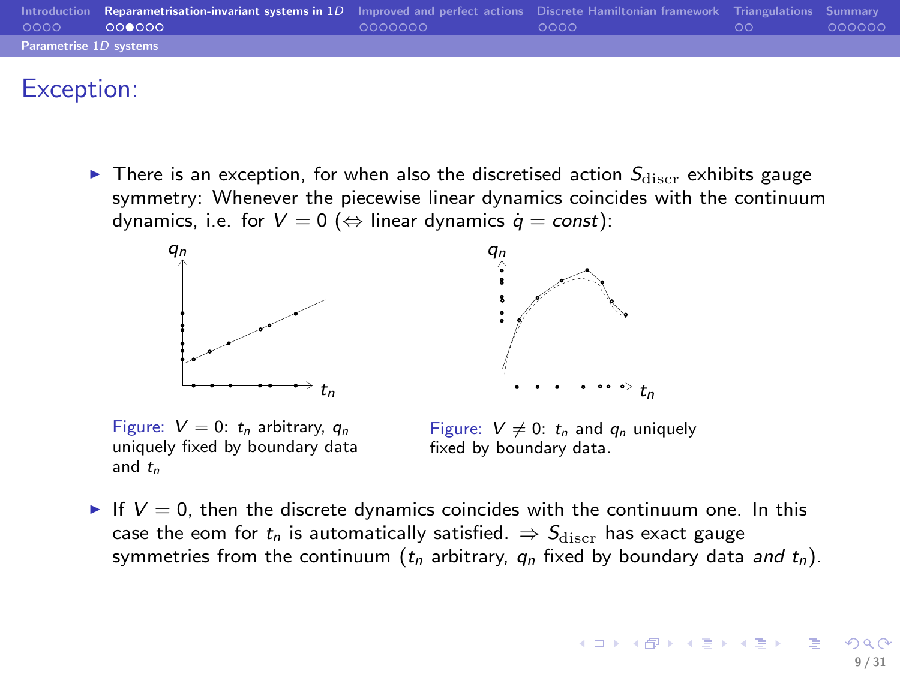| 0000                   | Introduction Reparametrisation-invariant systems in 1D Improved and perfect actions Discrete Hamiltonian framework Triangulations Summary<br>000000 | 0000000 | - ററററ | ററ | 000000 |
|------------------------|-----------------------------------------------------------------------------------------------------------------------------------------------------|---------|--------|----|--------|
| Parametrise 1D systems |                                                                                                                                                     |         |        |    |        |

# Exception:

 $\triangleright$  There is an exception, for when also the discretised action  $S_{\text{discr}}$  exhibits gauge symmetry: Whenever the piecewise linear dynamics coincides with the continuum dynamics, i.e. for  $V = 0$  ( $\Leftrightarrow$  linear dynamics  $\dot{q} = const$ ):



Figure:  $V = 0$ :  $t_n$  arbitrary,  $a_n$ uniquely fixed by boundary data and  $t_n$ 

Figure:  $V \neq 0$ :  $t_n$  and  $q_n$  uniquely fixed by boundary data.

If  $V = 0$ , then the discrete dynamics coincides with the continuum one. In this case the eom for  $t_n$  is automatically satisfied.  $\Rightarrow S_{\text{discr}}$  has exact gauge symmetries from the continuum ( $t_n$  arbitrary,  $q_n$  fixed by boundary data and  $t_n$ ).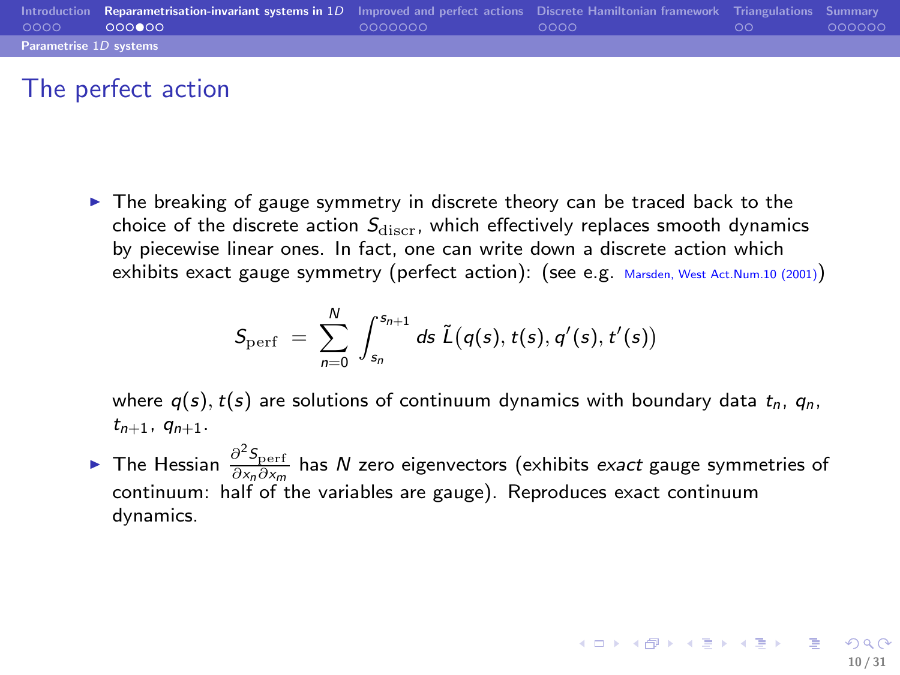|                        | Introduction Reparametrisation-invariant systems in 1D Improved and perfect actions Discrete Hamiltonian framework Triangulations Summary |         |      |    |        |
|------------------------|-------------------------------------------------------------------------------------------------------------------------------------------|---------|------|----|--------|
| 0000                   | 000000                                                                                                                                    | 0000000 | ററററ | ററ | 000000 |
| Parametrise 1D systems |                                                                                                                                           |         |      |    |        |

## The perfect action

 $\triangleright$  The breaking of gauge symmetry in discrete theory can be traced back to the choice of the discrete action  $S_{\text{discr}}$ , which effectively replaces smooth dynamics by piecewise linear ones. In fact, one can write down a discrete action which exhibits exact gauge symmetry (perfect action): (see e.g. Marsden, West Act.Num.10 (2001))

$$
S_{\text{perf }}=\ \sum_{n=0}^{N}\ \int_{s_n}^{s_{n+1}}ds\ \tilde{L}(q(s), t(s), q'(s), t'(s))
$$

where  $q(s)$ ,  $t(s)$  are solutions of continuum dynamics with boundary data  $t_n$ ,  $q_n$ ,  $t_{n+1}$ ,  $q_{n+1}$ .

► The Hessian  $\frac{\partial^2 S_{\text{perf}}}{\partial x_n \partial x_m}$  has  $N$  zero eigenvectors (exhibits *exact* gauge symmetries of continuum: half of the variables are gauge). Reproduces exact continuum dynamics.

10 / 31

K ロ X K @ X K 할 X X 할 X 및 할 X Y Q Q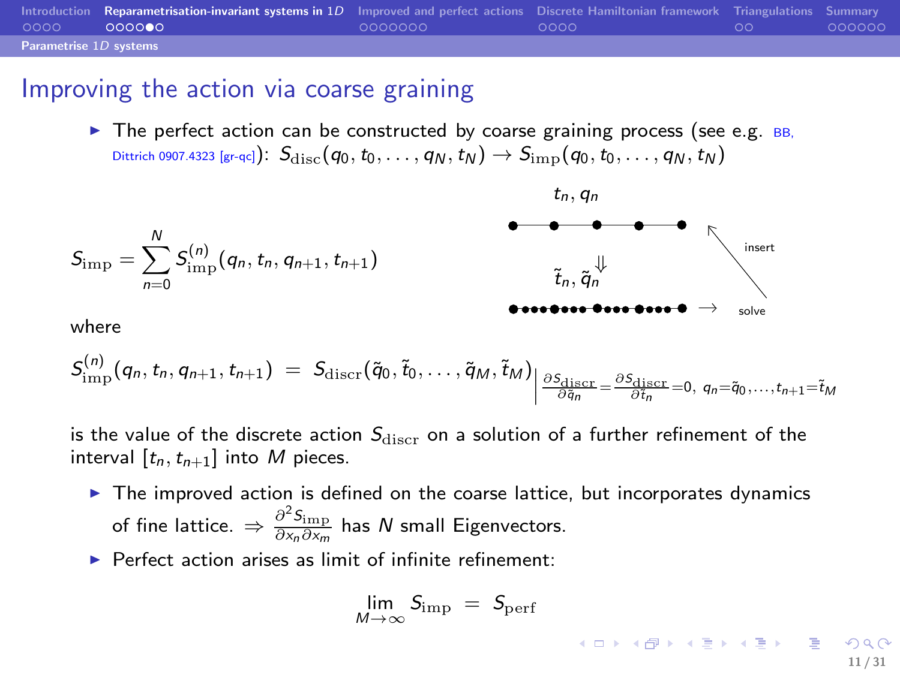|                        | Introduction Reparametrisation-invariant systems in 1D Improved and perfect actions Discrete Hamiltonian framework Triangulations Summary |         |        |    |        |
|------------------------|-------------------------------------------------------------------------------------------------------------------------------------------|---------|--------|----|--------|
| 0000                   | 000000                                                                                                                                    | 0000000 | - ററററ | ററ | 000000 |
| Parametrise 1D systems |                                                                                                                                           |         |        |    |        |

#### Improving the action via coarse graining

 $\triangleright$  The perfect action can be constructed by coarse graining process (see e.g. BB, Dittrich 0907.4323 [gr-qc]):  $S_{disc}(q_0, t_0, \ldots, q_N, t_N) \rightarrow S_{\text{imp}}(q_0, t_0, \ldots, q_N, t_N)$ 



where

$$
S_{\text{imp}}^{(n)}(q_n, t_n, q_{n+1}, t_{n+1}) = S_{\text{discr}}(\tilde{q}_0, \tilde{t}_0, \ldots, \tilde{q}_M, \tilde{t}_M) \bigg| \frac{\partial S_{\text{discr}}}{\partial \tilde{q}_n} = \frac{\partial S_{\text{discr}}}{\partial t_n} = 0, q_n = \tilde{q}_0, \ldots, t_{n+1} = \tilde{t}_M
$$

is the value of the discrete action  $S_{\text{discr}}$  on a solution of a further refinement of the interval  $[t_n, t_{n+1}]$  into M pieces.

- $\triangleright$  The improved action is defined on the coarse lattice, but incorporates dynamics of fine lattice.  $\Rightarrow \frac{\partial^2 \mathsf{S_{imp}}}{\partial \mathsf{x}_n \partial \mathsf{x}_m}$  has  $N$  small Eigenvectors.
- $\blacktriangleright$  Perfect action arises as limit of infinite refinement:

$$
\lim_{M\to\infty}S_{\rm imp}\;=\;S_{\rm perf}
$$

<span id="page-10-0"></span>11 / 31

K ロ ▶ K @ ▶ K 할 ▶ K 할 ▶ 이 할 → K) Q C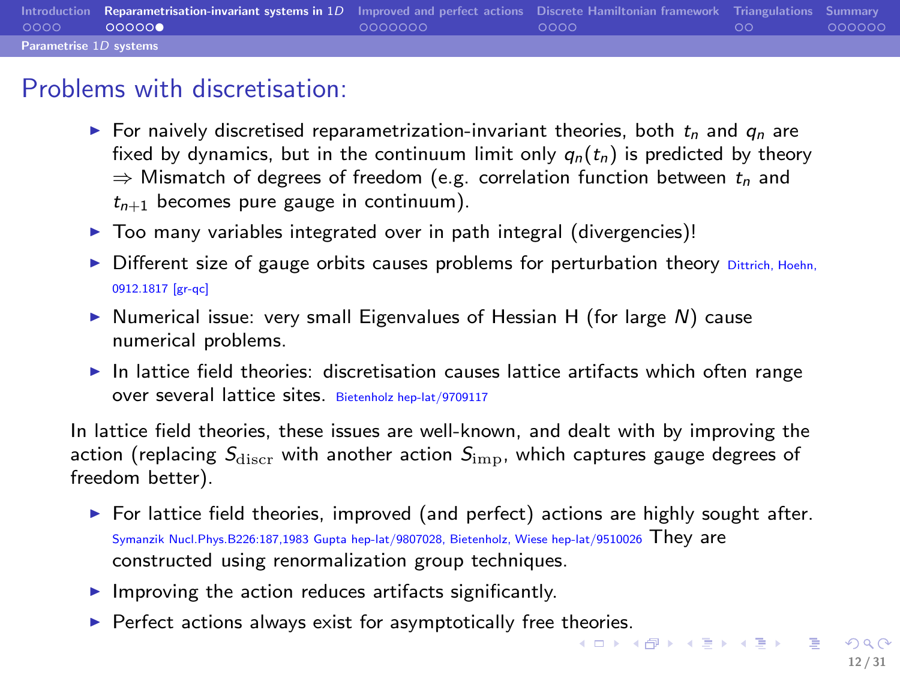|                        | Introduction Reparametrisation-invariant systems in 1D Improved and perfect actions Discrete Hamiltonian framework Triangulations Summary |         |        |    |        |
|------------------------|-------------------------------------------------------------------------------------------------------------------------------------------|---------|--------|----|--------|
| 0000                   | 000000                                                                                                                                    | 0000000 | - ററററ | ററ | 000000 |
| Parametrise 1D systems |                                                                                                                                           |         |        |    |        |

## Problems with discretisation:

- For naively discretised reparametrization-invariant theories, both  $t_n$  and  $q_n$  are fixed by dynamics, but in the continuum limit only  $q_n(t_n)$  is predicted by theory  $\Rightarrow$  Mismatch of degrees of freedom (e.g. correlation function between  $t_n$  and  $t_{n+1}$  becomes pure gauge in continuum).
- $\triangleright$  Too many variables integrated over in path integral (divergencies)!
- $\triangleright$  Different size of gauge orbits causes problems for perturbation theory Dittrich, Hoehn, 0912.1817 [gr-qc]
- $\triangleright$  Numerical issue: very small Eigenvalues of Hessian H (for large N) cause numerical problems.
- $\blacktriangleright$  In lattice field theories: discretisation causes lattice artifacts which often range over several lattice sites. Bietenholz hep-lat/9709117

In lattice field theories, these issues are well-known, and dealt with by improving the action (replacing  $S_{\text{discr}}$  with another action  $S_{\text{imp}}$ , which captures gauge degrees of freedom better).

- $\triangleright$  For lattice field theories, improved (and perfect) actions are highly sought after. Symanzik Nucl.Phys.B226:187,1983 Gupta hep-lat/9807028, Bietenholz, Wiese hep-lat/9510026 They are constructed using renormalization group techniques.
- $\blacktriangleright$  Improving the action reduces artifacts significantly.
- ► Perfect actions always exist for asymptotically free t[heo](#page-10-0)r[ies](#page-12-0)[.](#page-10-0)<br>  $\overline{A} \cup \overline{A} \cup \overline{A} \cup \overline{A} \cup \overline{A} \cup \overline{A} \cup \overline{A}$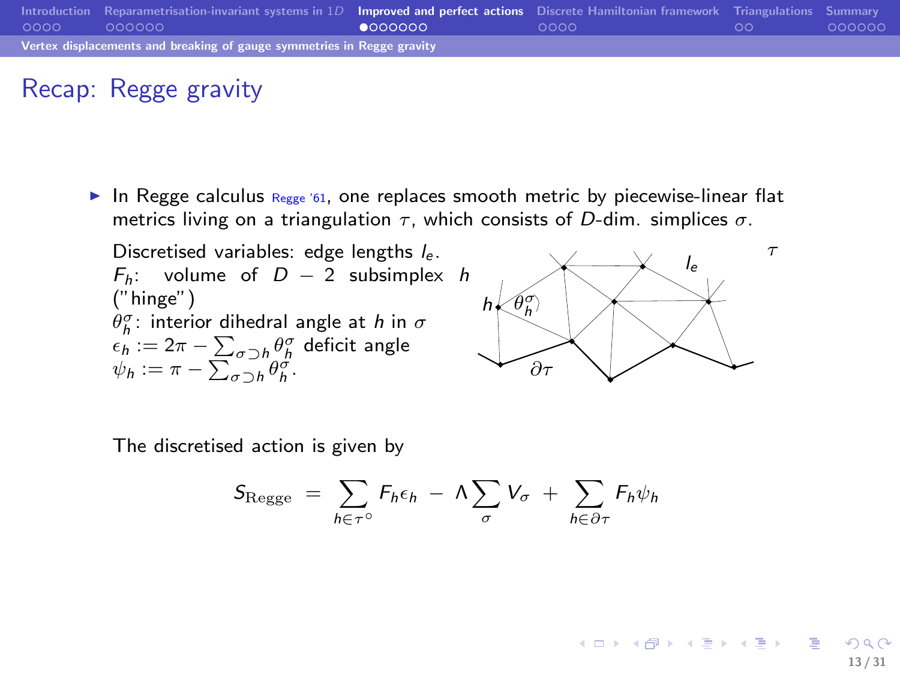|      | Introduction Reparametrisation-invariant systems in $1D$ Improved and perfect actions Discrete Hamiltonian framework Triangulations Summary |         |      |    |        |
|------|---------------------------------------------------------------------------------------------------------------------------------------------|---------|------|----|--------|
| 0000 | <u>. ററററററ</u>                                                                                                                             | 0000000 | ററററ | ററ | 000000 |
|      | Vertex displacements and breaking of gauge symmetries in Regge gravity                                                                      |         |      |    |        |

# Recap: Regge gravity

In Regge calculus  $R_{egge}$  '61, one replaces smooth metric by piecewise-linear flat metrics living on a triangulation  $\tau$ , which consists of D-dim. simplices  $\sigma$ .

Discretised variables: edge lengths  $l_e$ .  $F_h$ : volume of  $D - 2$  subsimplex h ("hinge")  $\theta_h^{\sigma}$ : interior dihedral angle at h in  $\sigma$  $\epsilon_h := 2\pi - \sum_{\sigma\supset h} \theta_h^\sigma$  deficit angle  $\psi_h := \pi - \sum_{\sigma \supset h} \theta_h^{\sigma}.$ 

<span id="page-12-0"></span>

The discretised action is given by

$$
S_{\text{Regge}} = \sum_{h \in \tau^{\circ}} F_h \epsilon_h - \Lambda \sum_{\sigma} V_{\sigma} + \sum_{h \in \partial \tau} F_h \psi_h
$$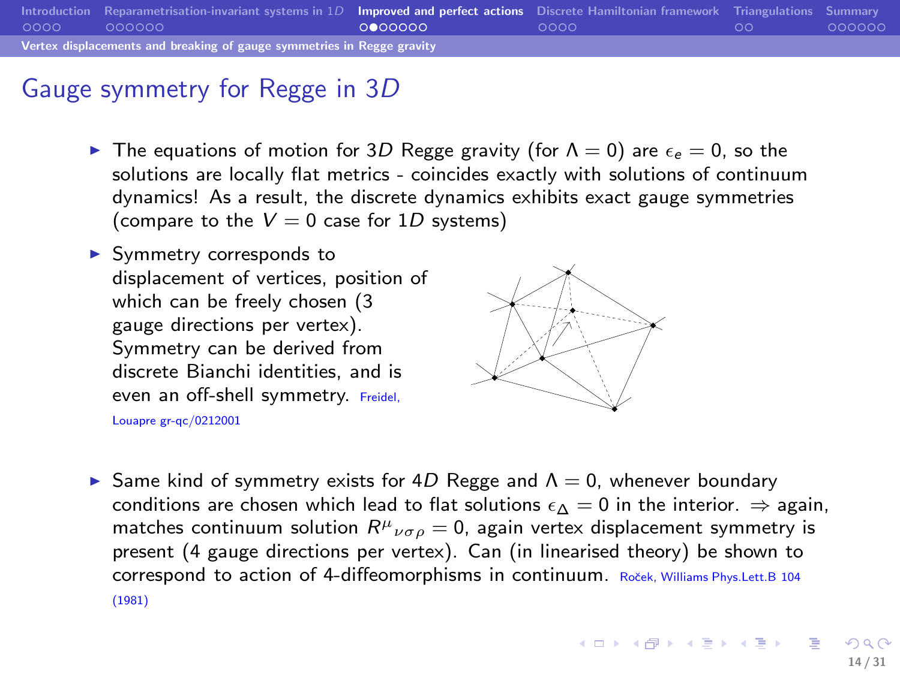|      | Introduction Reparametrisation-invariant systems in $1D$ Improved and perfect actions Discrete Hamiltonian framework Triangulations Summary |         |       |    |         |  |  |  |
|------|---------------------------------------------------------------------------------------------------------------------------------------------|---------|-------|----|---------|--|--|--|
| 0000 | - ററററററ                                                                                                                                    | 0000000 | -ററററ | ററ | .000000 |  |  |  |
|      | Vertex displacements and breaking of gauge symmetries in Regge gravity                                                                      |         |       |    |         |  |  |  |

## Gauge symmetry for Regge in 3D

- ► The equations of motion for 3D Regge gravity (for  $\Lambda = 0$ ) are  $\epsilon_e = 0$ , so the solutions are locally flat metrics - coincides exactly with solutions of continuum dynamics! As a result, the discrete dynamics exhibits exact gauge symmetries (compare to the  $V = 0$  case for 1D systems)
- ▶ Symmetry corresponds to displacement of vertices, position of which can be freely chosen (3 gauge directions per vertex). Symmetry can be derived from discrete Bianchi identities, and is even an off-shell symmetry. Freidel,

Louapre gr-qc/0212001



Same kind of symmetry exists for 4D Regge and  $\Lambda = 0$ , whenever boundary conditions are chosen which lead to flat solutions  $\epsilon \wedge = 0$  in the interior.  $\Rightarrow$  again, matches continuum solution  $R^{\mu}{}_{\nu\sigma\rho} = 0$ , again vertex displacement symmetry is present (4 gauge directions per vertex). Can (in linearised theory) be shown to correspond to action of 4-diffeomorphisms in continuum. Roček, Williams Phys.Lett.B 104 (1981)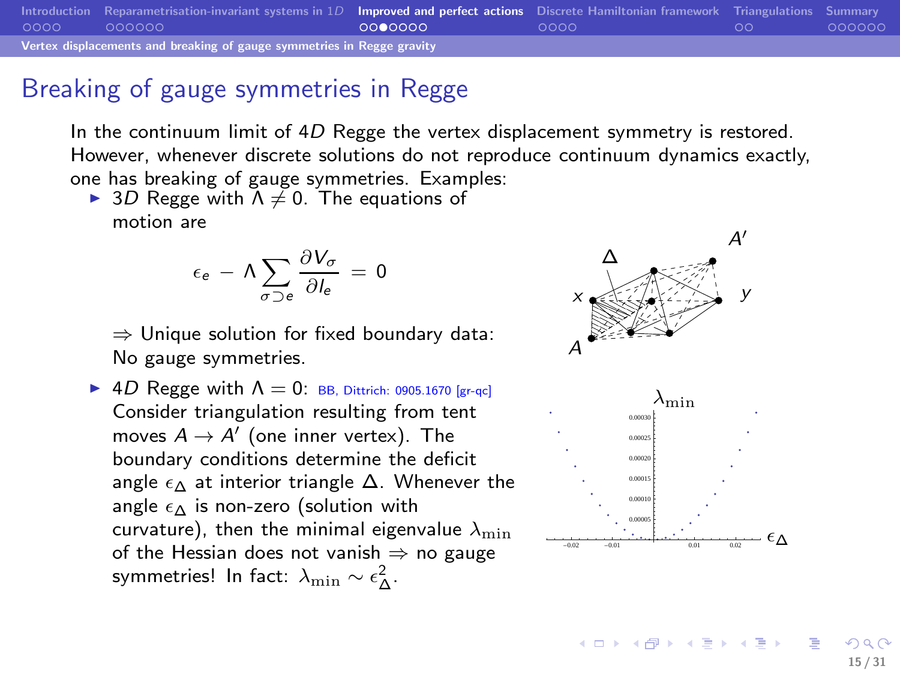[Introduction](#page-2-0) [Reparametrisation-invariant systems in](#page-6-0) 1D **[Improved and perfect actions](#page-12-0)** [Discrete Hamiltonian framework](#page-19-0) [Triangulations](#page-23-0) [Summary](#page-25-0)<br>00000 000000 000000 Vertex displacements and breaking of gauge symmetries in Regge gravity

# Breaking of gauge symmetries in Regge

In the continuum limit of 4D Regge the vertex displacement symmetry is restored. However, whenever discrete solutions do not reproduce continuum dynamics exactly, one has breaking of gauge symmetries. Examples:

► 3D Regge with  $\Lambda \neq 0$ . The equations of motion are

$$
\epsilon_e \,-\, \Lambda \sum_{\sigma\supset e}\frac{\partial V_\sigma}{\partial I_e}\,=\,0
$$

⇒ Unique solution for fixed boundary data: No gauge symmetries.

 $\triangleright$  4D Regge with  $\Lambda = 0$ : BB, Dittrich: 0905.1670 [gr-qc] Consider triangulation resulting from tent moves  $A \rightarrow A'$  (one inner vertex). The boundary conditions determine the deficit angle  $\epsilon_{\Delta}$  at interior triangle  $\Delta$ . Whenever the angle  $\epsilon_{\Delta}$  is non-zero (solution with curvature), then the minimal eigenvalue  $\lambda_{\min}$ of the Hessian does not vanish  $\Rightarrow$  no gauge symmetries! In fact:  $\lambda_{\min}\sim \epsilon_\Delta^2$ .



**K ロ ▶ K 御 ▶ K 唐 ▶ K 唐 ▶** ...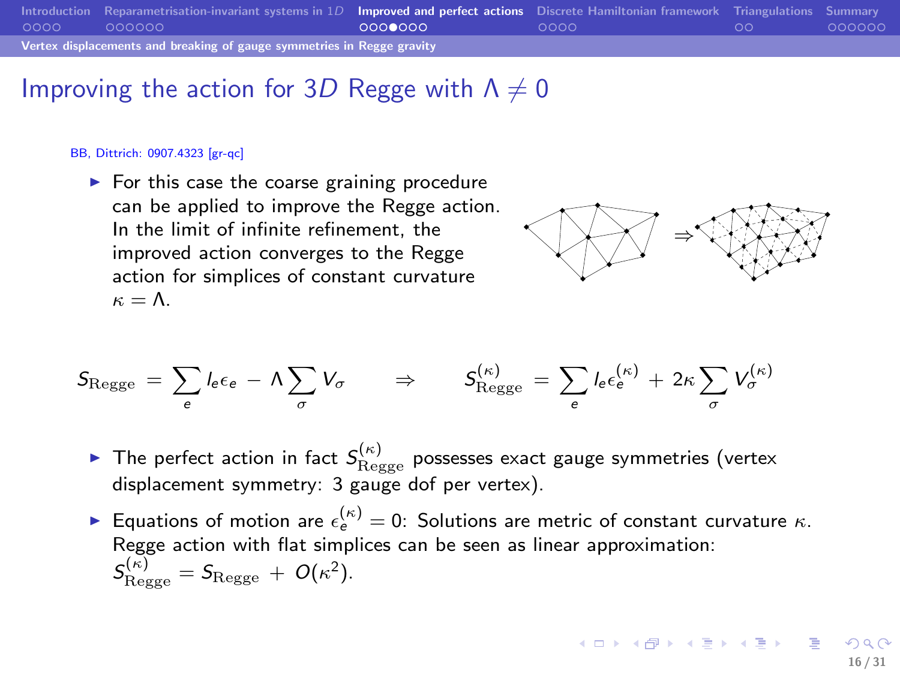|      | Introduction Reparametrisation-invariant systems in $1D$ Improved and perfect actions Discrete Hamiltonian framework Triangulations Summary |         |      |    |        |  |  |  |  |
|------|---------------------------------------------------------------------------------------------------------------------------------------------|---------|------|----|--------|--|--|--|--|
| 0000 | 000000                                                                                                                                      | 0000000 | 0000 | ററ | 000000 |  |  |  |  |
|      | Vertex displacements and breaking of gauge symmetries in Regge gravity                                                                      |         |      |    |        |  |  |  |  |

#### Improving the action for 3D Regge with  $\Lambda \neq 0$

#### BB, Dittrich: 0907.4323 [gr-qc]

 $\blacktriangleright$  For this case the coarse graining procedure can be applied to improve the Regge action. In the limit of infinite refinement, the improved action converges to the Regge action for simplices of constant curvature  $\kappa = \Lambda$ .



$$
S_{\text{Regge}} = \sum_{e} l_e \epsilon_e - \Lambda \sum_{\sigma} V_{\sigma} \qquad \Rightarrow \qquad S_{\text{Regge}}^{(\kappa)} = \sum_{e} l_e \epsilon_e^{(\kappa)} + 2\kappa \sum_{\sigma} V_{\sigma}^{(\kappa)}
$$

- $\blacktriangleright$  The perfect action in fact  $S^{(\kappa)}_\mathrm{Regge}$  possesses exact gauge symmetries (vertex displacement symmetry: 3 gauge dof per vertex).
- ► Equations of motion are  $\epsilon_{e}^{(\kappa)} = 0$ : Solutions are metric of constant curvature  $\kappa$ . Regge action with flat simplices can be seen as linear approximation:  $\mathcal{S}_{\text{Regge}}^{(\kappa)} = \mathcal{S}_{\text{Regge}} + O(\kappa^2).$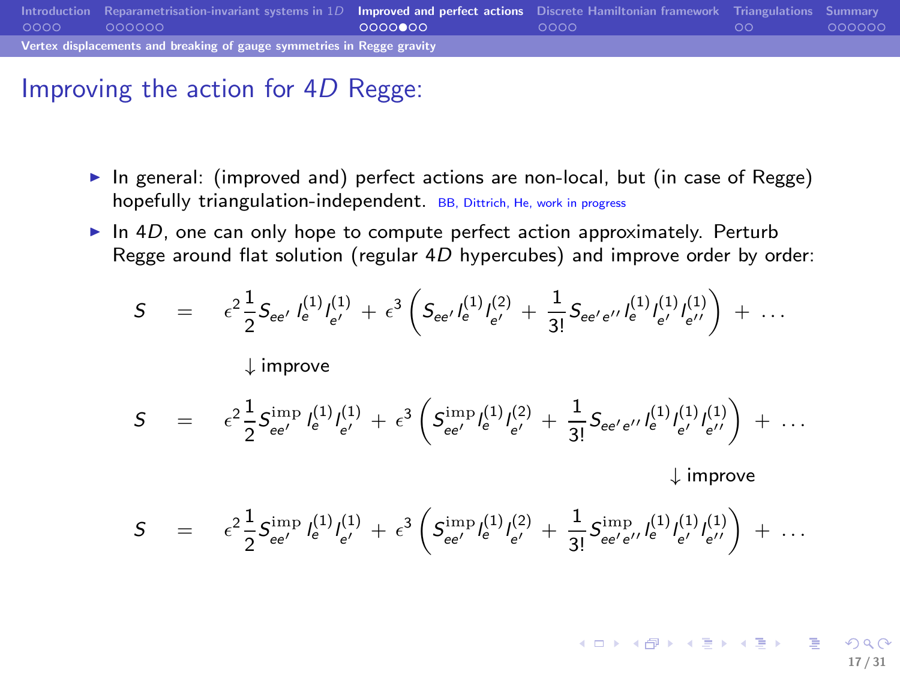|      | Introduction Reparametrisation-invariant systems in $1D$ Improved and perfect actions Discrete Hamiltonian framework Triangulations Summary |          |      |    |        |  |  |  |  |
|------|---------------------------------------------------------------------------------------------------------------------------------------------|----------|------|----|--------|--|--|--|--|
| 0000 | .000000                                                                                                                                     | 00000000 | ററററ | ററ | 000000 |  |  |  |  |
|      | Vertex displacements and breaking of gauge symmetries in Regge gravity                                                                      |          |      |    |        |  |  |  |  |

## Improving the action for 4D Regge:

- $\triangleright$  In general: (improved and) perfect actions are non-local, but (in case of Regge) hopefully triangulation-independent. BB, Dittrich, He, work in progress
- $\triangleright$  In 4D, one can only hope to compute perfect action approximately. Perturb Regge around flat solution (regular  $4D$  hypercubes) and improve order by order:

$$
S = \epsilon^{2} \frac{1}{2} S_{ee'} l_{e'}^{(1)} l_{e'}^{(1)} + \epsilon^{3} \left( S_{ee'} l_{e'}^{(1)} l_{e'}^{(2)} + \frac{1}{3!} S_{ee'e''} l_{e'}^{(1)} l_{e'}^{(1)} l_{e'}^{(1)} \right) + \cdots
$$
  
\n
$$
\downarrow \text{improve}
$$
  
\n
$$
S = \epsilon^{2} \frac{1}{2} S_{ee'}^{\text{imp}} l_{e'}^{(1)} l_{e'}^{(1)} + \epsilon^{3} \left( S_{ee'}^{\text{imp}} l_{e'}^{(1)} l_{e'}^{(2)} + \frac{1}{3!} S_{ee'e''} l_{e'}^{(1)} l_{e'}^{(1)} l_{e''}^{(1)} \right) + \cdots
$$

↓ improve

$$
S \quad = \quad \epsilon^2 \frac{1}{2} S_{ee'}^{\rm imp} \, l_e^{(1)} l_{e'}^{(1)} \, + \, \epsilon^3 \left( S_{ee'}^{\rm imp} l_e^{(1)} l_{e'}^{(2)} \, + \, \frac{1}{3!} S_{ee'e''}^{\rm imp} l_e^{(1)} l_{e''}^{(1)} l_{e''}^{(1)} \right) \, + \, \ldots
$$

17 / 31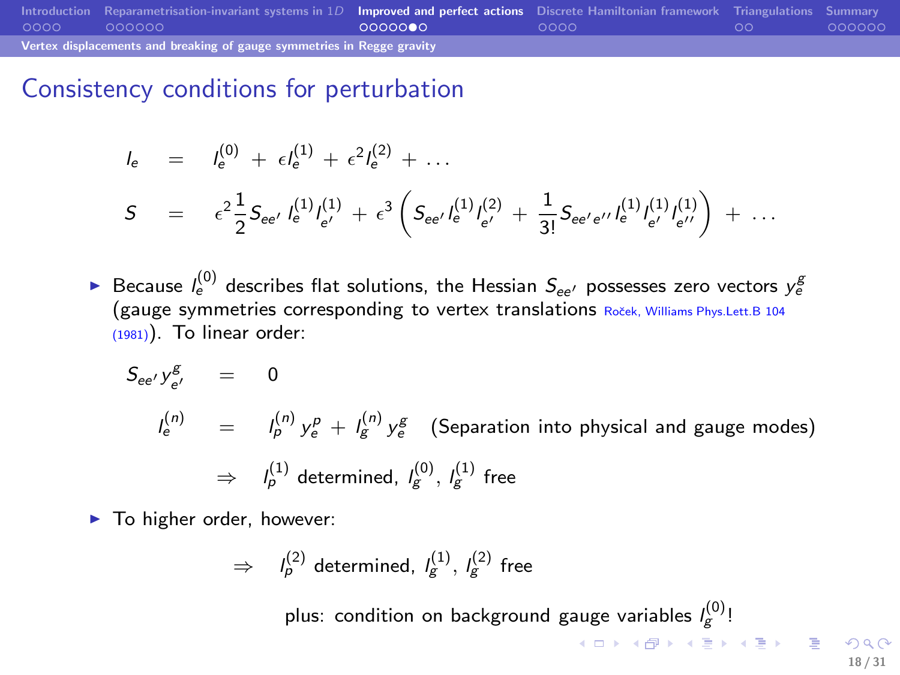|      | Introduction Reparametrisation-invariant systems in $1D$ Improved and perfect actions Discrete Hamiltonian framework Triangulations Summary |          |      |    |        |  |  |  |
|------|---------------------------------------------------------------------------------------------------------------------------------------------|----------|------|----|--------|--|--|--|
| 0000 | 000000                                                                                                                                      | 00000000 | ററററ | ററ | 000000 |  |  |  |
|      | Vertex displacements and breaking of gauge symmetries in Regge gravity                                                                      |          |      |    |        |  |  |  |

Consistency conditions for perturbation

$$
l_{e} = l_{e}^{(0)} + \epsilon l_{e}^{(1)} + \epsilon^{2} l_{e}^{(2)} + \dots
$$
  
\n
$$
S = \epsilon^{2} \frac{1}{2} S_{ee'} l_{e'}^{(1)} l_{e'}^{(1)} + \epsilon^{3} \left( S_{ee'} l_{e'}^{(1)} l_{e'}^{(2)} + \frac{1}{3!} S_{ee'e''} l_{e'}^{(1)} l_{e'}^{(1)} l_{e'}^{(1)} \right) + \dots
$$

▶ Because  $l_e^{(0)}$  describes flat solutions, the Hessian  $S_{ee'}$  possesses zero vectors  $y_e^g$ (gauge symmetries corresponding to vertex translations Roček, Williams Phys.Lett.B 104  $(1981)$ ). To linear order:

$$
S_{ee'} y_{e'}^g = 0
$$
  
\n
$$
I_e^{(n)} = I_p^{(n)} y_e^p + I_g^{(n)} y_e^g
$$
 (Separation into physical and gauge modes)  
\n
$$
\Rightarrow I_p^{(1)} \text{ determined, } I_g^{(0)}, I_g^{(1)} \text{ free}
$$

 $\blacktriangleright$  To higher order, however:

$$
\Rightarrow \quad I_p^{(2)} \text{ determined, } I_g^{(1)}, \ I_g^{(2)} \text{ free}
$$

plus: condition on background gauge variables  $I_g^{(0)}$ !

4 ロ > 3 個 > 3 量 > 3 量 > 二重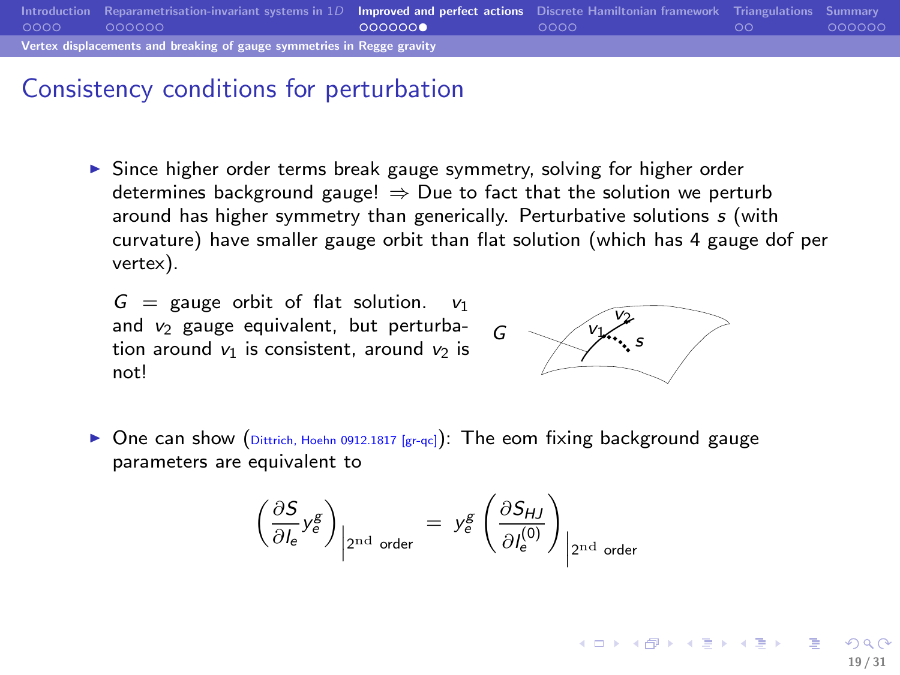

#### Consistency conditions for perturbation

 $\triangleright$  Since higher order terms break gauge symmetry, solving for higher order determines background gauge!  $\Rightarrow$  Due to fact that the solution we perturb around has higher symmetry than generically. Perturbative solutions s (with curvature) have smaller gauge orbit than flat solution (which has 4 gauge dof per vertex).

 $G =$  gauge orbit of flat solution. and  $v_2$  gauge equivalent, but perturbation around  $v_1$  is consistent, around  $v_2$  is not!



▶ One can show (Dittrich, Hoehn 0912.1817 [gr-qc]): The eom fixing background gauge parameters are equivalent to

$$
\left(\frac{\partial S}{\partial l_e} y_e^g\right)_{\text{2nd order}} = y_e^g \left(\frac{\partial S_{HJ}}{\partial l_e^{(0)}}\right)_{\text{2nd order}}
$$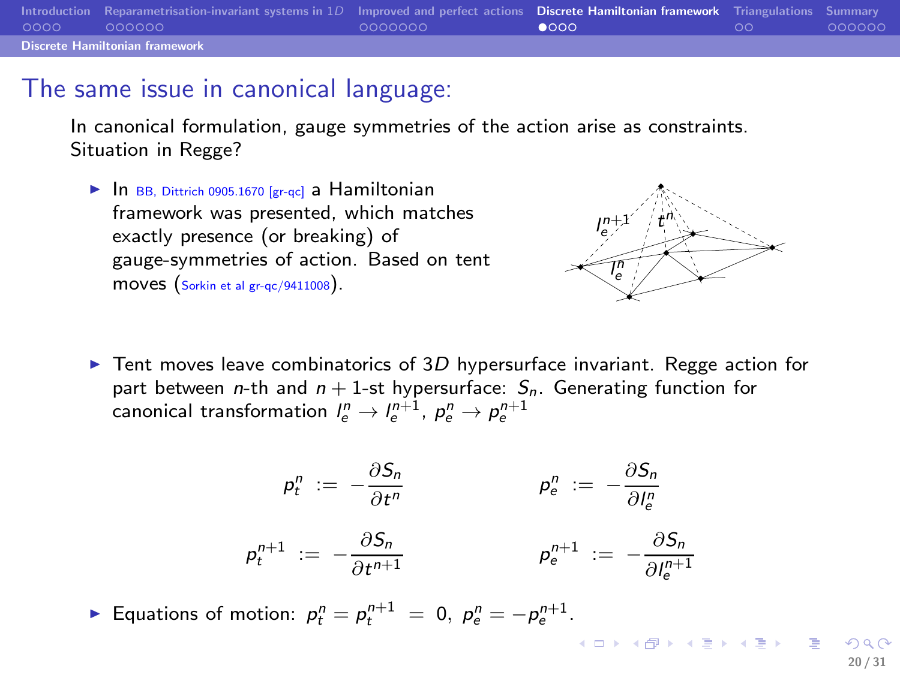|      | Introduction Reparametrisation-invariant systems in $1D$ Improved and perfect actions Discrete Hamiltonian framework Triangulations Summary |         |    |    |         |
|------|---------------------------------------------------------------------------------------------------------------------------------------------|---------|----|----|---------|
| 0000 | - 000000                                                                                                                                    | 0000000 | ൈറ | ററ | .000000 |
|      | <b>Discrete Hamiltonian framework</b>                                                                                                       |         |    |    |         |

#### The same issue in canonical language:

In canonical formulation, gauge symmetries of the action arise as constraints. Situation in Regge?

 $\blacktriangleright$  In BB, Dittrich 0905.1670 [gr-qc] a Hamiltonian framework was presented, which matches exactly presence (or breaking) of gauge-symmetries of action. Based on tent moves  $(sorkin et al gr-qc/9411008)$ .



 $(1, 1)$   $(1, 1)$   $(1, 1)$   $(1, 1)$   $(1, 1)$   $(1, 1)$   $(1, 1)$   $(1, 1)$   $(1, 1)$   $(1, 1)$ 

Extempt Tent moves leave combinatorics of 3D hypersurface invariant. Regge action for part between *n*-th and  $n + 1$ -st hypersurface:  $S_n$ . Generating function for canonical transformation  $l_{e}^{n}\rightarrow l_{e}^{n+1}$ ,  $\rho_{e}^{n}\rightarrow \rho_{e}^{n+1}$ 

$$
p_t^n := -\frac{\partial S_n}{\partial t^n}
$$
  
\n
$$
p_t^{n+1} := -\frac{\partial S_n}{\partial t^{n+1}}
$$
  
\n
$$
p_e^{n+1} := -\frac{\partial S_n}{\partial t^{n+1}}
$$
  
\n
$$
p_e^{n+1} := -\frac{\partial S_n}{\partial t^{n+1}}
$$

► Equations of motion:  $p_t^n = p_t^{n+1} = 0$ ,  $p_e^n = -p_e^{n+1}$ .

<span id="page-19-0"></span>20 / 31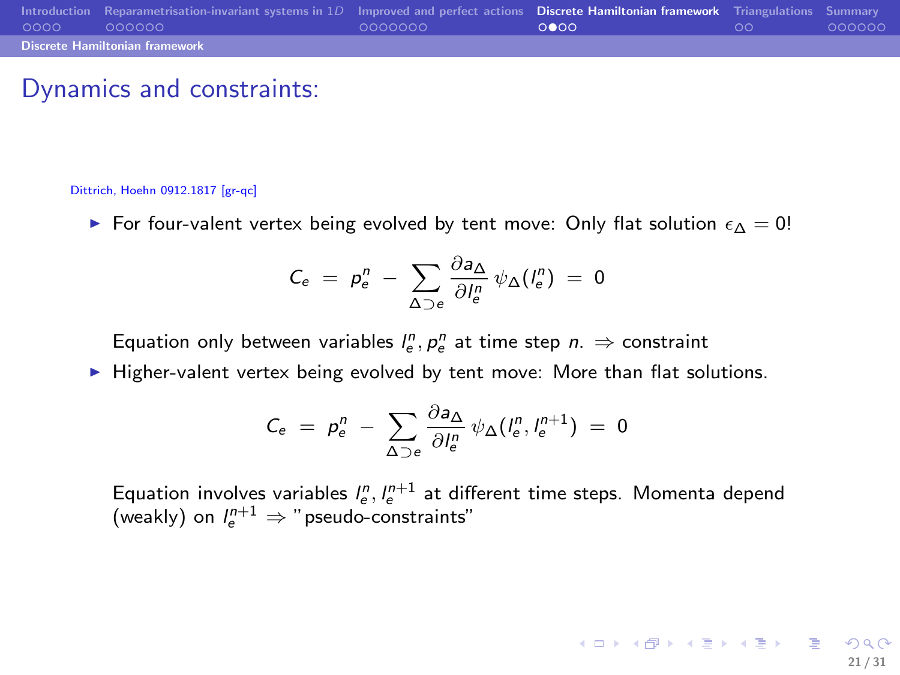|      | Introduction Reparametrisation-invariant systems in $1D$ Improved and perfect actions Discrete Hamiltonian framework Triangulations Summary |         |      |      |        |
|------|---------------------------------------------------------------------------------------------------------------------------------------------|---------|------|------|--------|
| 0000 | 000000                                                                                                                                      | 0000000 | ററേറ | . ററ | 000000 |
|      | <b>Discrete Hamiltonian framework</b>                                                                                                       |         |      |      |        |

#### Dynamics and constraints:

#### Dittrich, Hoehn 0912.1817 [gr-qc]

For four-valent vertex being evolved by tent move: Only flat solution  $\epsilon_{\Lambda} = 0!$ 

$$
C_e = p_e^n - \sum_{\Delta \supset e} \frac{\partial a_{\Delta}}{\partial l_e^n} \psi_{\Delta}(l_e^n) = 0
$$

Equation only between variables  $l_e^n$ ,  $p_e^n$  at time step  $n \Rightarrow$  constraint

 $\blacktriangleright$  Higher-valent vertex being evolved by tent move: More than flat solutions.

$$
C_e = p_e^n - \sum_{\Delta \supset e} \frac{\partial a_{\Delta}}{\partial l_e^n} \psi_{\Delta}(l_e^n, l_e^{n+1}) = 0
$$

Equation involves variables  $l_e^n, l_e^{n+1}$  at different time steps. Momenta depend (weakly) on  $l_e^{n+1} \Rightarrow$  "pseudo-constraints"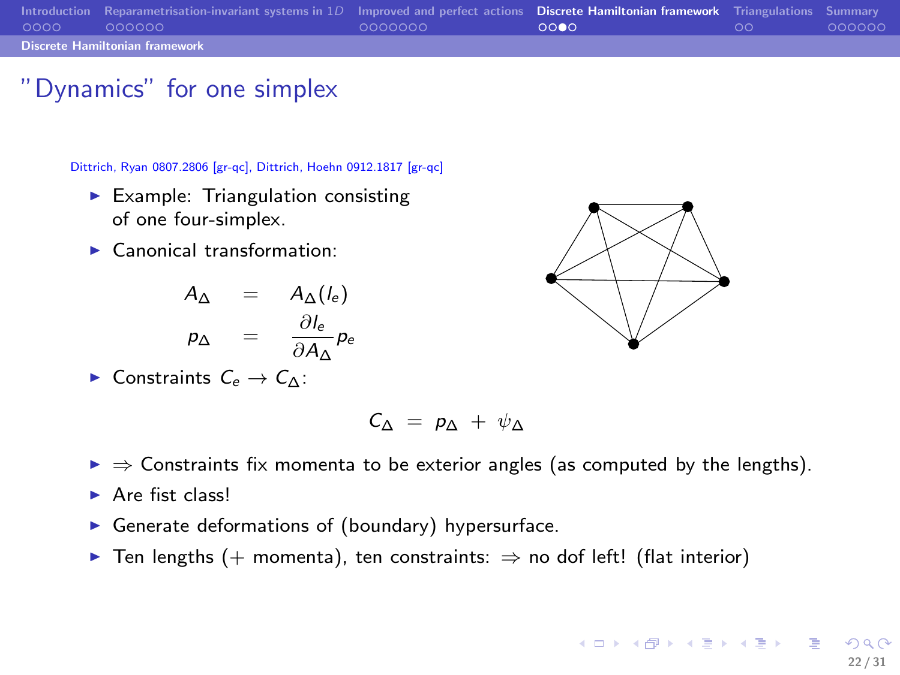|      | Introduction Reparametrisation-invariant systems in $1D$ Improved and perfect actions Discrete Hamiltonian framework Triangulations Summary |         |      |    |         |
|------|---------------------------------------------------------------------------------------------------------------------------------------------|---------|------|----|---------|
| 0000 | $\sim$ 000000                                                                                                                               | 0000000 | റററെ | ററ | .000000 |
|      | <b>Discrete Hamiltonian framework</b>                                                                                                       |         |      |    |         |

## "Dynamics" for one simplex

Dittrich, Ryan 0807.2806 [gr-qc], Dittrich, Hoehn 0912.1817 [gr-qc]

- $\blacktriangleright$  Example: Triangulation consisting of one four-simplex.
- ▶ Canonical transformation:

$$
A_{\Delta} = A_{\Delta}(l_e)
$$
  

$$
p_{\Delta} = \frac{\partial l_e}{\partial A_{\Delta}} p_e
$$

► Constraints  $C_e \rightarrow C_\Delta$ :



$$
C_{\Delta} = p_{\Delta} + \psi_{\Delta}
$$

- $\triangleright \Rightarrow$  Constraints fix momenta to be exterior angles (as computed by the lengths).
- $\rightharpoonup$  Are fist class!
- $\triangleright$  Generate deformations of (boundary) hypersurface.
- ▶ Ten lengths (+ momenta), ten constraints:  $\Rightarrow$  no dof left! (flat interior)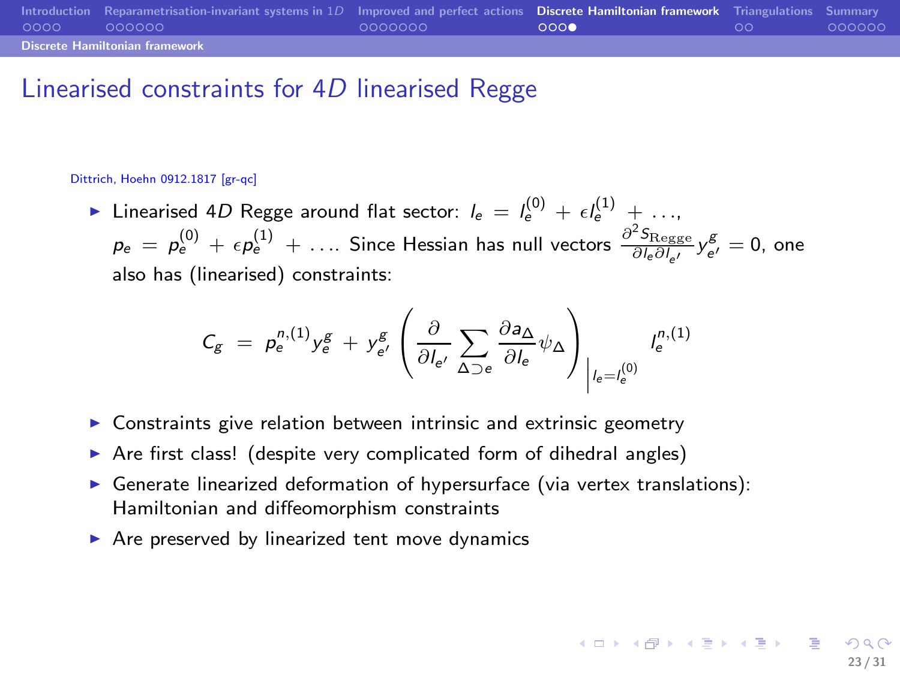|      | Introduction Reparametrisation-invariant systems in $1D$ Improved and perfect actions Discrete Hamiltonian framework Triangulations Summary |         |     |    |        |
|------|---------------------------------------------------------------------------------------------------------------------------------------------|---------|-----|----|--------|
| 0000 | 000000                                                                                                                                      | 0000000 | റററ | ററ | 000000 |
|      | <b>Discrete Hamiltonian framework</b>                                                                                                       |         |     |    |        |

## Linearised constraints for 4D linearised Regge

#### Dittrich, Hoehn 0912.1817 [gr-qc]

► Linearised 4D Regge around flat sector:  $l_e = l_e^{(0)} + \epsilon l_e^{(1)} + \ldots$  $p_e = p_e^{(0)} + \epsilon p_e^{(1)} + \ldots$  Since Hessian has null vectors  $\frac{\partial^2 S_{\text{Regge}}}{\partial l_e \partial l_{e'}} y_{e'}^{\mathcal{B}} = 0$ , one also has (linearised) constraints:

$$
C_g = p_e^{n,(1)} y_e^g + y_{e'}^g \left( \frac{\partial}{\partial l_{e'}} \sum_{\Delta \supset e} \frac{\partial a_{\Delta}}{\partial l_e} \psi_{\Delta} \right)_{|l_e=l_e^{(0)}} l_e^{n,(1)}
$$

- $\triangleright$  Constraints give relation between intrinsic and extrinsic geometry
- ▶ Are first class! (despite very complicated form of dihedral angles)
- ▶ Generate linearized deformation of hypersurface (via vertex translations): Hamiltonian and diffeomorphism constraints
- $\triangleright$  Are preserved by linearized tent move dynamics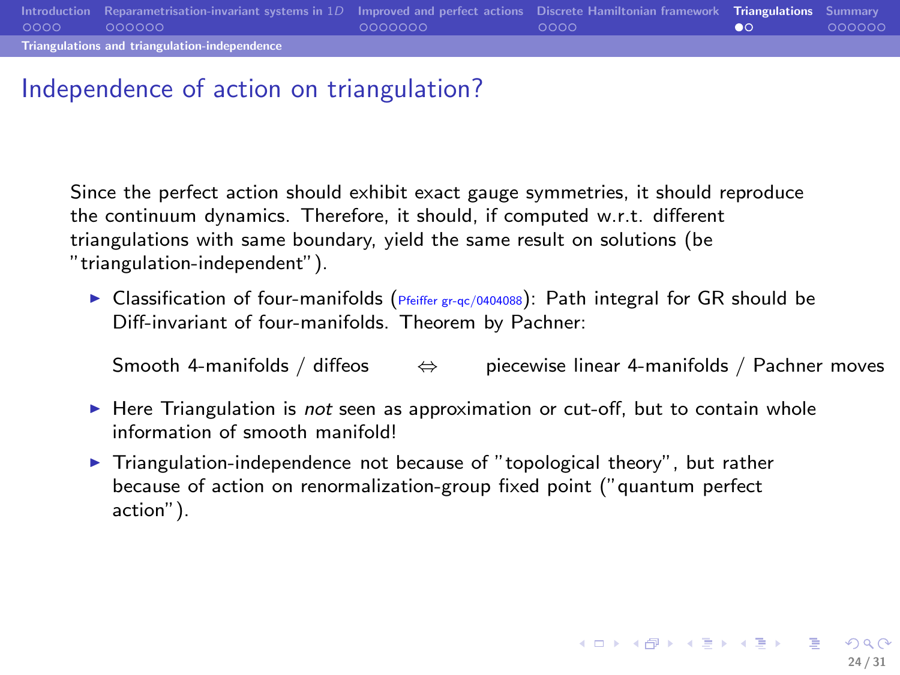# Independence of action on triangulation?

Since the perfect action should exhibit exact gauge symmetries, it should reproduce the continuum dynamics. Therefore, it should, if computed w.r.t. different triangulations with same boundary, yield the same result on solutions (be "triangulation-independent").

► Classification of four-manifolds ( $Pf$ feiffer gr-qc/0404088): Path integral for GR should be Diff-invariant of four-manifolds. Theorem by Pachner:

Smooth 4-manifolds / diffeos  $\Leftrightarrow$  piecewise linear 4-manifolds / Pachner moves

- $\blacktriangleright$  Here Triangulation is not seen as approximation or cut-off, but to contain whole information of smooth manifold!
- <span id="page-23-0"></span> $\blacktriangleright$  Triangulation-independence not because of "topological theory", but rather because of action on renormalization-group fixed point ("quantum perfect action").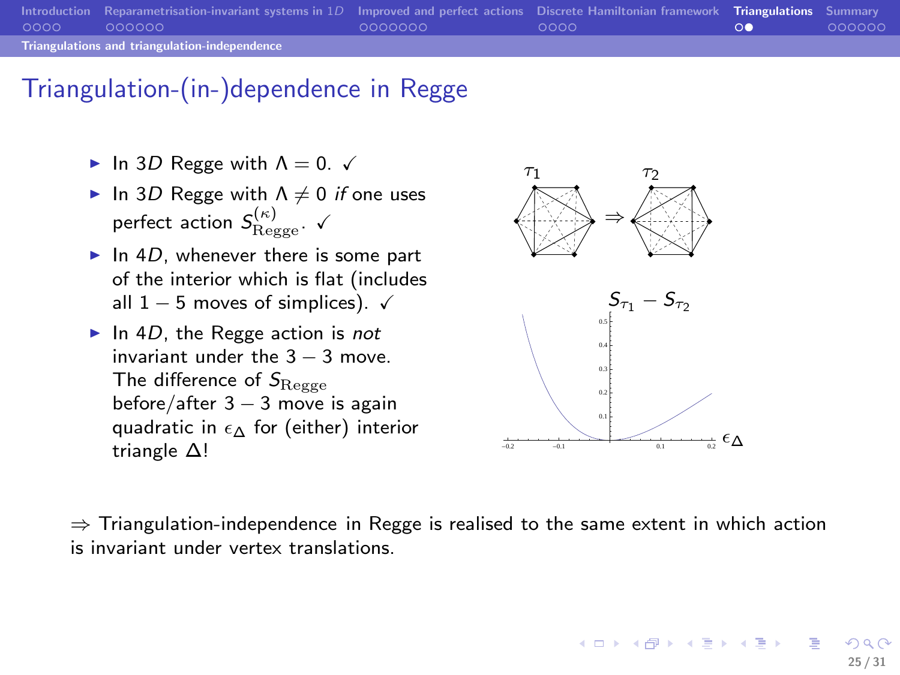|                                               | Introduction Reparametrisation-invariant systems in 1D Improved and perfect actions Discrete Hamiltonian framework Triangulations Summary |         |         |     |        |  |  |  |
|-----------------------------------------------|-------------------------------------------------------------------------------------------------------------------------------------------|---------|---------|-----|--------|--|--|--|
| 0000                                          | - 000000                                                                                                                                  | 0000000 | LOQQO 1 | -00 | 000000 |  |  |  |
| Triangulations and triangulation-independence |                                                                                                                                           |         |         |     |        |  |  |  |

## Triangulation-(in-)dependence in Regge

- $\blacktriangleright$  In 3D Regge with  $\Lambda = 0$ .  $\checkmark$
- In 3D Regge with  $\Lambda \neq 0$  if one uses perfect action  $S_{\text{Regge}}^{(\kappa)}$ .  $\checkmark$
- $\blacktriangleright$  In 4D, whenever there is some part of the interior which is flat (includes all  $1 - 5$  moves of simplices).  $\checkmark$
- $\blacktriangleright$  In 4D, the Regge action is not invariant under the  $3 - 3$  move The difference of  $S_{\text{Regge}}$ before/after  $3 - 3$  move is again quadratic in  $\epsilon \wedge$  for (either) interior triangle ∆!



 $\Rightarrow$  Triangulation-independence in Regge is realised to the same extent in which action is invariant under vertex translations.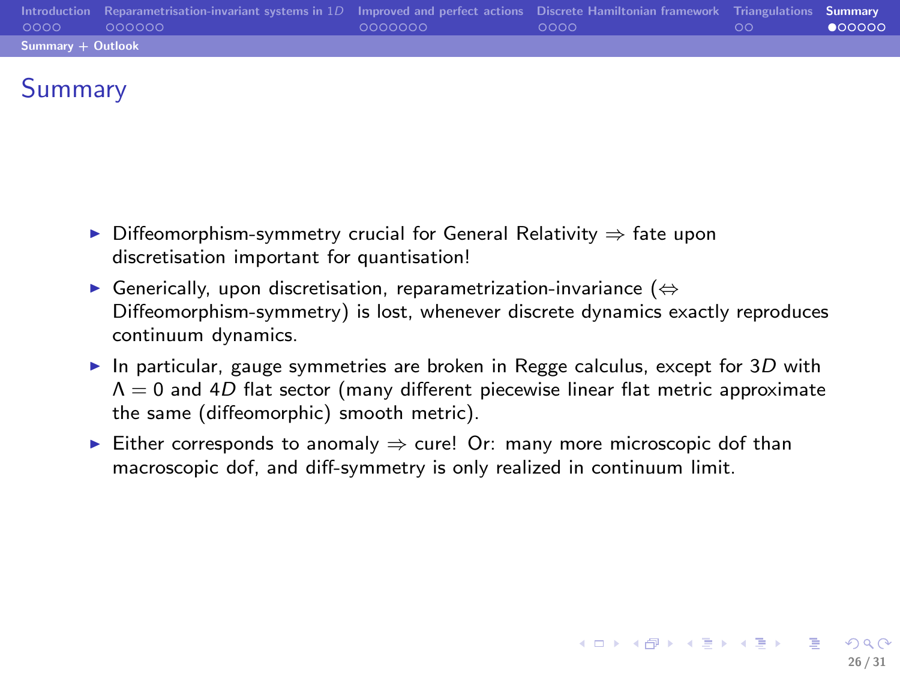| 0000              | Introduction Reparametrisation-invariant systems in $1D$ Improved and perfect actions Discrete Hamiltonian framework Triangulations Summary<br>000000 | 0000000 | - ററററ | ററ | 000000 |
|-------------------|-------------------------------------------------------------------------------------------------------------------------------------------------------|---------|--------|----|--------|
| Summary + Outlook |                                                                                                                                                       |         |        |    |        |

# Summary

- Diffeomorphism-symmetry crucial for General Relativity  $\Rightarrow$  fate upon discretisation important for quantisation!
- ► Generically, upon discretisation, reparametrization-invariance ( $\Leftrightarrow$ Diffeomorphism-symmetry) is lost, whenever discrete dynamics exactly reproduces continuum dynamics.
- In particular, gauge symmetries are broken in Regge calculus, except for  $3D$  with  $\Lambda = 0$  and 4D flat sector (many different piecewise linear flat metric approximate the same (diffeomorphic) smooth metric).

<span id="page-25-0"></span>26 / 31

4 0 > 4 d + 4 d + 4 d + 4 d + 6 d + 6 d + 6 d + 6 d + 6 d + 6 d + 6 d + 6 d + 6 d + 6 d + 6 d + 6 d + 6 d + 6 d + 6 d + 6 d + 6 d + 6 d + 6 d + 6 d + 6 d + 6 d + 6 d + 6 d + 6 d + 6 d + 6 d + 6 d + 6 d + 6 d + 6 d + 6 d +

Either corresponds to anomaly  $\Rightarrow$  cure! Or: many more microscopic dof than macroscopic dof, and diff-symmetry is only realized in continuum limit.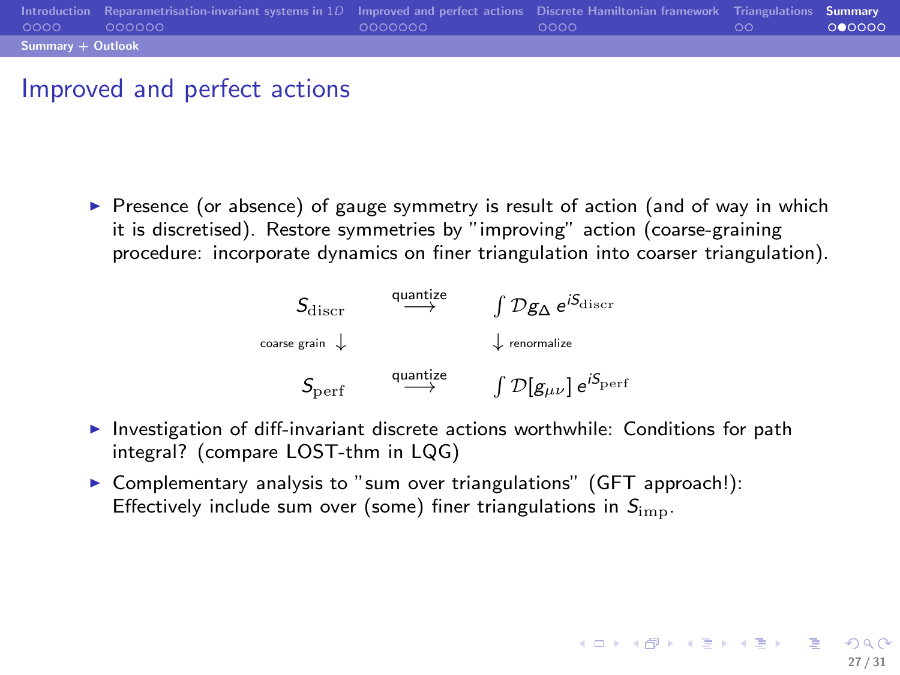| 0000                | Introduction Reparametrisation-invariant systems in $1D$ Improved and perfect actions Discrete Hamiltonian framework Triangulations Summary<br>000000 | 0000000 | ററററ | ററ | 000000 |
|---------------------|-------------------------------------------------------------------------------------------------------------------------------------------------------|---------|------|----|--------|
| $Summarv + Outlook$ |                                                                                                                                                       |         |      |    |        |

## Improved and perfect actions

 $\triangleright$  Presence (or absence) of gauge symmetry is result of action (and of way in which it is discretised). Restore symmetries by "improving" action (coarse-graining procedure: incorporate dynamics on finer triangulation into coarser triangulation).



▶ Investigation of diff-invariant discrete actions worthwhile: Conditions for path integral? (compare LOST-thm in LQG)

27 / 31

4 0 > 4 d + 4 d + 4 d + 4 d + 6 d + 6 d + 6 d + 6 d + 6 d + 6 d + 6 d + 6 d + 6 d + 6 d + 6 d + 6 d + 6 d + 6 d + 6 d + 6 d + 6 d + 6 d + 6 d + 6 d + 6 d + 6 d + 6 d + 6 d + 6 d + 6 d + 6 d + 6 d + 6 d + 6 d + 6 d + 6 d +

▶ Complementary analysis to "sum over triangulations" (GFT approach!): Effectively include sum over (some) finer triangulations in  $S_{\text{imn}}$ .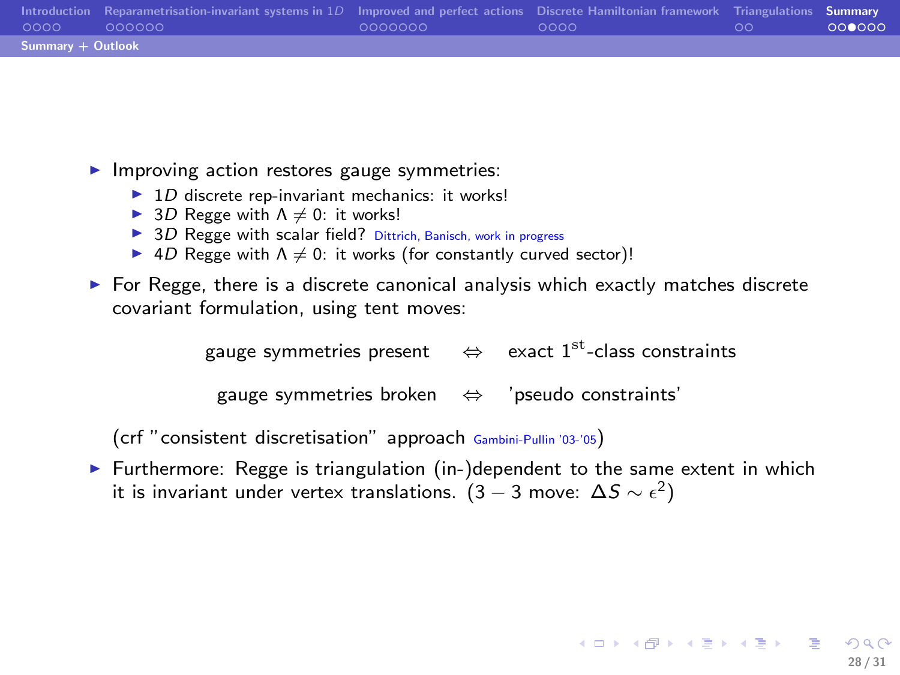| 0000              | Introduction Reparametrisation-invariant systems in $1D$ Improved and perfect actions Discrete Hamiltonian framework Triangulations Summary<br>000000 | LOQQQQQQ | - ററററ | -ററ | 000000 |  |
|-------------------|-------------------------------------------------------------------------------------------------------------------------------------------------------|----------|--------|-----|--------|--|
| Summary + Outlook |                                                                                                                                                       |          |        |     |        |  |

 $\blacktriangleright$  Improving action restores gauge symmetries:

- $\blacktriangleright$  1D discrete rep-invariant mechanics: it works!
- ► 3D Regge with  $\Lambda \neq 0$ : it works!
- $\triangleright$  3D Regge with scalar field? Dittrich, Banisch, work in progress
- $\blacktriangleright$  4D Regge with  $\Lambda \neq 0$ : it works (for constantly curved sector)!
- $\triangleright$  For Regge, there is a discrete canonical analysis which exactly matches discrete covariant formulation, using tent moves:

gauge symmetries present  $\quad \Leftrightarrow \quad$  exact  $1^{\text{st}}$ -class constraints

gauge symmetries broken ⇔ 'pseudo constraints'

(crf "consistent discretisation" approach Gambini-Pullin '03-'05)

 $\triangleright$  Furthermore: Regge is triangulation (in-)dependent to the same extent in which it is invariant under vertex translations.  $(3-3$  move:  $\Delta S \sim \epsilon^2)$ 

28 / 31

K ロ X K ④ X K ミ X K ミ X ミ → O Q C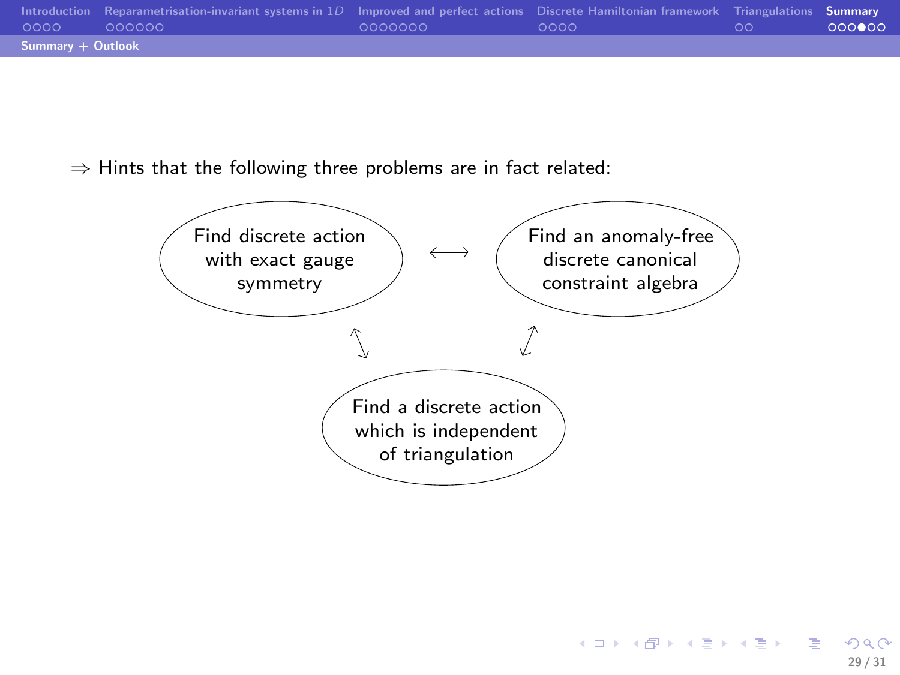| 0000              | Introduction Reparametrisation-invariant systems in $1D$ Improved and perfect actions Discrete Hamiltonian framework Triangulations Summary<br>000000 | 0000000 | - ററററ | . ററ | 000000 |  |
|-------------------|-------------------------------------------------------------------------------------------------------------------------------------------------------|---------|--------|------|--------|--|
| Summary + Outlook |                                                                                                                                                       |         |        |      |        |  |

 $\Rightarrow$  Hints that the following three problems are in fact related:

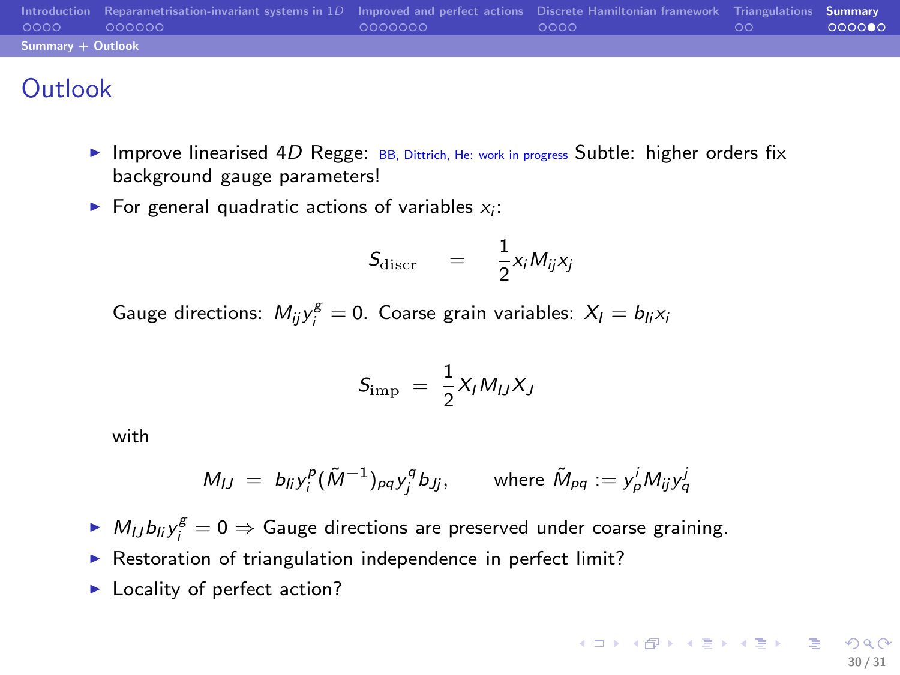| $0000 -$          | Introduction Reparametrisation-invariant systems in $1D$ Improved and perfect actions Discrete Hamiltonian framework Triangulations Summary<br>- 000000 - | 0000000 | - ററററ | .ററ | 000000 |  |  |
|-------------------|-----------------------------------------------------------------------------------------------------------------------------------------------------------|---------|--------|-----|--------|--|--|
| Summary + Outlook |                                                                                                                                                           |         |        |     |        |  |  |

# **Outlook**

- Improve linearised  $4D$  Regge: BB, Dittrich, He: work in progress Subtle: higher orders fix background gauge parameters!
- $\blacktriangleright$  For general quadratic actions of variables  $x_i$ :

$$
S_{\rm discr} = \frac{1}{2}x_i M_{ij} x_j
$$

Gauge directions:  $M_{ij} y_i^g = 0$ . Coarse grain variables:  $X_l = b_{li} x_i$ 

$$
S_{\rm imp} = \frac{1}{2} X_I M_{IJ} X_J
$$

with

$$
M_{IJ} = b_{ij} y_i^p (\tilde{M}^{-1})_{pq} y_j^q b_{jj}, \quad \text{where } \tilde{M}_{pq} := y_p^i M_{ij} y_q^j
$$

- $M_{IJ}b_{ij}$ ,  $g^g=0 \Rightarrow$  Gauge directions are preserved under coarse graining.
- $\triangleright$  Restoration of triangulation independence in perfect limit?
- ► Locality of perfect action?